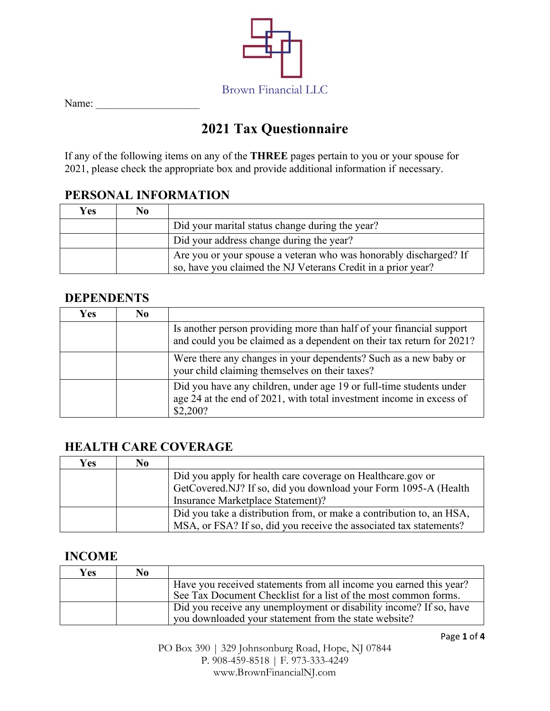

Name: \_\_\_\_\_\_\_\_\_\_\_\_\_\_\_\_\_\_\_\_\_

# **2021 Tax Questionnaire**

If any of the following items on any of the **THREE** pages pertain to you or your spouse for 2021, please check the appropriate box and provide additional information if necessary.

## **PERSONAL INFORMATION**

| Yes | No |                                                                                                                                   |
|-----|----|-----------------------------------------------------------------------------------------------------------------------------------|
|     |    | Did your marital status change during the year?                                                                                   |
|     |    | Did your address change during the year?                                                                                          |
|     |    | Are you or your spouse a veteran who was honorably discharged? If<br>so, have you claimed the NJ Veterans Credit in a prior year? |

#### **DEPENDENTS**

| <b>Yes</b> | N <sub>0</sub> |                                                                                                                                                         |
|------------|----------------|---------------------------------------------------------------------------------------------------------------------------------------------------------|
|            |                | Is another person providing more than half of your financial support<br>and could you be claimed as a dependent on their tax return for 2021?           |
|            |                | Were there any changes in your dependents? Such as a new baby or<br>your child claiming themselves on their taxes?                                      |
|            |                | Did you have any children, under age 19 or full-time students under<br>age 24 at the end of 2021, with total investment income in excess of<br>\$2,200? |

## **HEALTH CARE COVERAGE**

| Yes | N <sub>0</sub> |                                                                      |
|-----|----------------|----------------------------------------------------------------------|
|     |                | Did you apply for health care coverage on Healthcare.gov or          |
|     |                | GetCovered.NJ? If so, did you download your Form 1095-A (Health      |
|     |                | Insurance Marketplace Statement)?                                    |
|     |                | Did you take a distribution from, or make a contribution to, an HSA, |
|     |                | MSA, or FSA? If so, did you receive the associated tax statements?   |

#### **INCOME**

| Yes | No |                                                                    |
|-----|----|--------------------------------------------------------------------|
|     |    | Have you received statements from all income you earned this year? |
|     |    | See Tax Document Checklist for a list of the most common forms.    |
|     |    | Did you receive any unemployment or disability income? If so, have |
|     |    | you downloaded your statement from the state website?              |

PO Box 390 | 329 Johnsonburg Road, Hope, NJ 07844 P. 908-459-8518 | F. 973-333-4249 www.BrownFinancialNJ.com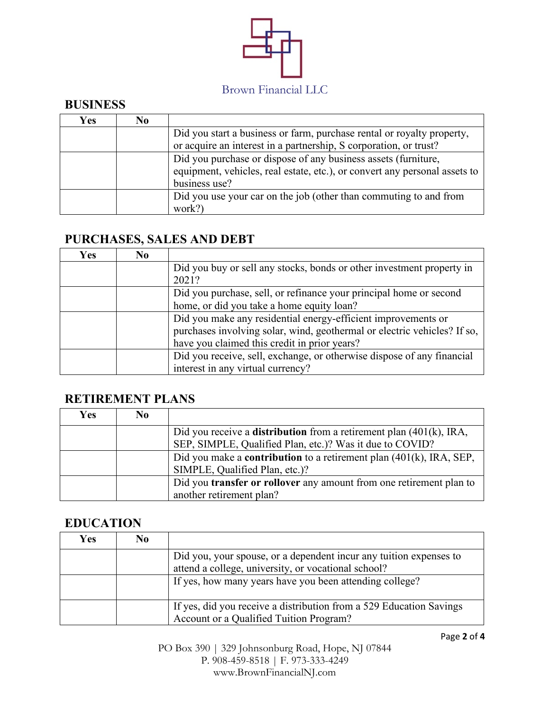

## **BUSINESS**

| Yes | No |                                                                            |
|-----|----|----------------------------------------------------------------------------|
|     |    | Did you start a business or farm, purchase rental or royalty property,     |
|     |    | or acquire an interest in a partnership, S corporation, or trust?          |
|     |    | Did you purchase or dispose of any business assets (furniture,             |
|     |    | equipment, vehicles, real estate, etc.), or convert any personal assets to |
|     |    | business use?                                                              |
|     |    | Did you use your car on the job (other than commuting to and from          |
|     |    | work?)                                                                     |

# **PURCHASES, SALES AND DEBT**

| <b>Yes</b> | No. |                                                                          |
|------------|-----|--------------------------------------------------------------------------|
|            |     | Did you buy or sell any stocks, bonds or other investment property in    |
|            |     | 2021?                                                                    |
|            |     | Did you purchase, sell, or refinance your principal home or second       |
|            |     | home, or did you take a home equity loan?                                |
|            |     | Did you make any residential energy-efficient improvements or            |
|            |     | purchases involving solar, wind, geothermal or electric vehicles? If so, |
|            |     | have you claimed this credit in prior years?                             |
|            |     | Did you receive, sell, exchange, or otherwise dispose of any financial   |
|            |     | interest in any virtual currency?                                        |

## **RETIREMENT PLANS**

| <b>Yes</b> | N <sub>0</sub> |                                                                                                      |
|------------|----------------|------------------------------------------------------------------------------------------------------|
|            |                | Did you receive a <b>distribution</b> from a retirement plan $(401(k), \text{IRA},$                  |
|            |                | SEP, SIMPLE, Qualified Plan, etc.)? Was it due to COVID?                                             |
|            |                | Did you make a <b>contribution</b> to a retirement plan $(401(k), \text{IRA}, \text{SEP}, \text{O})$ |
|            |                | SIMPLE, Qualified Plan, etc.)?                                                                       |
|            |                | Did you <b>transfer or rollover</b> any amount from one retirement plan to                           |
|            |                | another retirement plan?                                                                             |

#### **EDUCATION**

| <b>Yes</b> | N <sub>0</sub> |                                                                                                                           |
|------------|----------------|---------------------------------------------------------------------------------------------------------------------------|
|            |                | Did you, your spouse, or a dependent incur any tuition expenses to<br>attend a college, university, or vocational school? |
|            |                | If yes, how many years have you been attending college?                                                                   |
|            |                | If yes, did you receive a distribution from a 529 Education Savings<br>Account or a Qualified Tuition Program?            |

PO Box 390 | 329 Johnsonburg Road, Hope, NJ 07844 P. 908-459-8518 | F. 973-333-4249 www.BrownFinancialNJ.com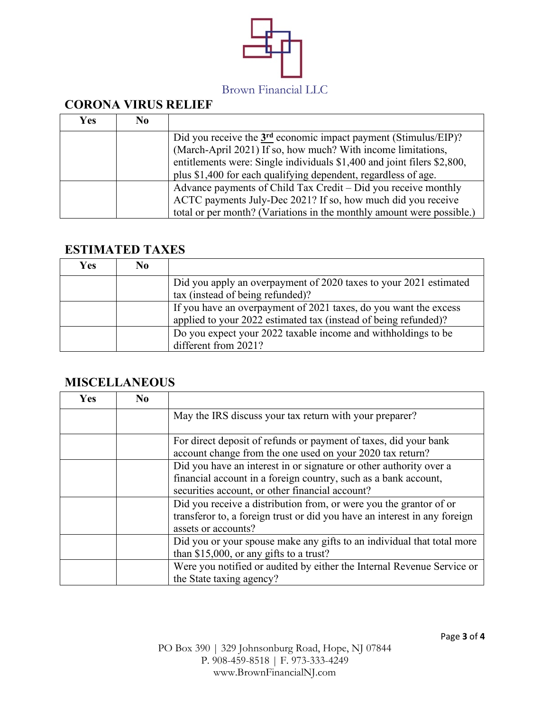

## **CORONA VIRUS RELIEF**

| <b>Yes</b> | N <sub>0</sub> |                                                                         |
|------------|----------------|-------------------------------------------------------------------------|
|            |                | Did you receive the $3rd$ economic impact payment (Stimulus/EIP)?       |
|            |                | (March-April 2021) If so, how much? With income limitations,            |
|            |                | entitlements were: Single individuals \$1,400 and joint filers \$2,800, |
|            |                | plus \$1,400 for each qualifying dependent, regardless of age.          |
|            |                | Advance payments of Child Tax Credit – Did you receive monthly          |
|            |                | ACTC payments July-Dec 2021? If so, how much did you receive            |
|            |                | total or per month? (Variations in the monthly amount were possible.)   |

#### **ESTIMATED TAXES**

| <b>Yes</b> | No |                                                                                                                                     |
|------------|----|-------------------------------------------------------------------------------------------------------------------------------------|
|            |    | Did you apply an overpayment of 2020 taxes to your 2021 estimated<br>tax (instead of being refunded)?                               |
|            |    | If you have an overpayment of 2021 taxes, do you want the excess<br>applied to your 2022 estimated tax (instead of being refunded)? |
|            |    | Do you expect your 2022 taxable income and withholdings to be<br>different from 2021?                                               |

## **MISCELLANEOUS**

| <b>Yes</b> | $\bf No$ |                                                                                                                                                                                          |
|------------|----------|------------------------------------------------------------------------------------------------------------------------------------------------------------------------------------------|
|            |          | May the IRS discuss your tax return with your preparer?                                                                                                                                  |
|            |          | For direct deposit of refunds or payment of taxes, did your bank<br>account change from the one used on your 2020 tax return?                                                            |
|            |          | Did you have an interest in or signature or other authority over a<br>financial account in a foreign country, such as a bank account,<br>securities account, or other financial account? |
|            |          | Did you receive a distribution from, or were you the grantor of or<br>transferor to, a foreign trust or did you have an interest in any foreign<br>assets or accounts?                   |
|            |          | Did you or your spouse make any gifts to an individual that total more<br>than $$15,000$ , or any gifts to a trust?                                                                      |
|            |          | Were you notified or audited by either the Internal Revenue Service or<br>the State taxing agency?                                                                                       |